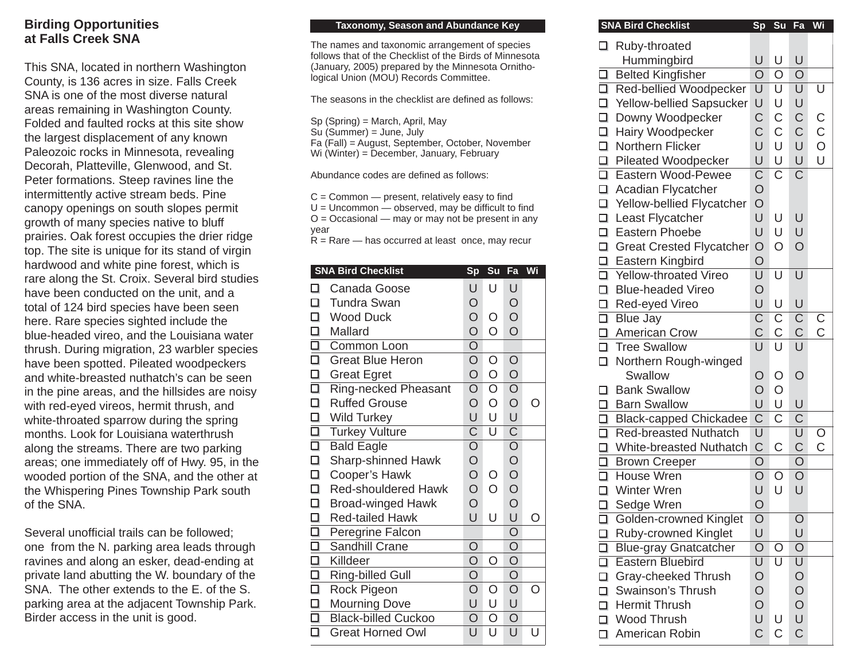## **Birding Opportunities at Falls Creek SNA**

This SNA, located in northern Washington County, is 136 acres in size. Falls Creek SNA is one of the most diverse natural areas remaining in Washington County. Folded and faulted rocks at this site show the largest displacement of any known Paleozoic rocks in Minnesota, revealing Decorah, Platteville, Glenwood, and St. Peter formations. Steep ravines line the intermittently active stream beds. Pine canopy openings on south slopes permit growth of many species native to bluff prairies. Oak forest occupies the drier ridge top. The site is unique for its stand of virgin hardwood and white pine forest, which is rare along the St. Croix. Several bird studies have been conducted on the unit, and a total of 124 bird species have been seen here. Rare species sighted include the blue-headed vireo, and the Louisiana water thrush. During migration, 23 warbler species have been spotted. Pileated woodpeckers and white-breasted nuthatch's can be seen in the pine areas, and the hillsides are noisy with red-eyed vireos, hermit thrush, and white-throated sparrow during the spring months. Look for Louisiana waterthrush along the streams. There are two parking areas; one immediately off of Hwy. 95, in the wooded portion of the SNA, and the other at the Whispering Pines Township Park south of the SNA.

Several unofficial trails can be followed; one from the N. parking area leads through ravines and along an esker, dead-ending at private land abutting the W. boundary of the SNA. The other extends to the E. of the S. parking area at the adjacent Township Park. Birder access in the unit is good.

## **Taxonomy, Season and Abundance Key**

The names and taxonomic arrangement of species follows that of the Checklist of the Birds of Minnesota (January, 2005) prepared by the Minnesota Ornithological Union (MOU) Records Committee.

The seasons in the checklist are defined as follows:

Sp (Spring) = March, April, May

Su (Summer) = June, July

Fa (Fall) = August, September, October, November

Wi (Winter) = December, January, February

Abundance codes are defined as follows:

 $C =$  Common  $-$  present, relatively easy to find  $U =$  Uncommon  $-$  observed, may be difficult to find  $O = Occasional$  — may or may not be present in any year

 $R =$ Rare — has occurred at least once, may recur

|                | <b>SNA Bird Checklist</b>   | Sp                                                           | Su                      | Fa                                                          | Wi  |
|----------------|-----------------------------|--------------------------------------------------------------|-------------------------|-------------------------------------------------------------|-----|
| ◻              | Canada Goose                | U                                                            | U                       | U                                                           |     |
| □              | <b>Tundra Swan</b>          | $\circ$                                                      |                         | $\bigcirc$                                                  |     |
| □              | <b>Wood Duck</b>            | $\overline{O}$                                               | O                       | $\bigcirc$                                                  |     |
|                | Mallard                     | $\overline{O}$                                               | $\overline{O}$          | $\overline{O}$                                              |     |
| <u>ala ala</u> | Common Loon                 | $\overline{O}$                                               |                         |                                                             |     |
|                | <b>Great Blue Heron</b>     | $\overline{O}$                                               | $\circ$                 | $\circ$                                                     |     |
|                | <b>Great Egret</b>          | $\overline{O}$                                               | $\bigcirc$              | $\bigcirc$                                                  |     |
|                | <b>Ring-necked Pheasant</b> | $\overline{\mathsf{O}}$                                      | $\overline{\mathsf{O}}$ | $\overline{O}$                                              |     |
| О              | <b>Ruffed Grouse</b>        | $\overline{O}$                                               | $\circ$                 | $\bigcirc$                                                  | Ω   |
| 0 0 0 0        | <b>Wild Turkey</b>          | U                                                            | U                       | U                                                           |     |
|                | <b>Turkey Vulture</b>       | $\overline{\mathsf{C}}$                                      | $\overline{\mathsf{U}}$ |                                                             |     |
|                | <b>Bald Eagle</b>           |                                                              |                         |                                                             |     |
| $\Box$         | Sharp-shinned Hawk          | $\begin{array}{c} \n\circ \\ \n\circ \\ \n\circ \end{array}$ |                         |                                                             |     |
| $\Box$         | Cooper's Hawk               |                                                              | O                       |                                                             |     |
| O.             | <b>Red-shouldered Hawk</b>  |                                                              | $\overline{O}$          | $\overline{O}$ $\overline{O}$ $\overline{O}$ $\overline{O}$ |     |
| $\Box$         | <b>Broad-winged Hawk</b>    | $\overline{O}$                                               |                         |                                                             |     |
| $\Box$         | <b>Red-tailed Hawk</b>      | U                                                            | U                       | U                                                           | ( ) |
| ololololo      | Peregrine Falcon            |                                                              |                         | $\bigcirc$                                                  |     |
|                | Sandhill Crane              | $\overline{O}$                                               |                         | $\overline{O}$                                              |     |
|                | Killdeer                    | $\overline{O}$                                               | O                       | $\overline{O}$                                              |     |
|                | <b>Ring-billed Gull</b>     | $\bigcirc$                                                   |                         | $\overline{O}$                                              |     |
|                | Rock Pigeon                 | $\overline{O}$                                               | O                       | $\overline{O}$                                              | ( ) |
| $\Box$         | <b>Mourning Dove</b>        | U                                                            | U                       | U                                                           |     |
| $\Box$         | <b>Black-billed Cuckoo</b>  | $\circ$                                                      | O                       | $\overline{O}$                                              |     |
| О              | <b>Great Horned Owl</b>     | U                                                            | U                       | U                                                           | U   |

| <b>SNA Bird Checklist</b>                            | Sp                                           | Su                      | Fa                                           | Wi                      |
|------------------------------------------------------|----------------------------------------------|-------------------------|----------------------------------------------|-------------------------|
| $\Box$<br>Ruby-throated                              |                                              |                         |                                              |                         |
| Hummingbird                                          | U                                            | U                       | U                                            |                         |
| <b>Belted Kingfisher</b><br>□                        | $\overline{O}$                               | O                       | O                                            |                         |
| Red-bellied Woodpecker                               | $\overline{\mathsf{U}}$                      | $\overline{\mathsf{U}}$ | $\overline{\mathsf{U}}$                      | $\overline{\mathsf{U}}$ |
| Yellow-bellied Sapsucker                             | U                                            | U                       | U                                            |                         |
| □ Yellow-bellied Sapsu<br>□ Downy Woodpecker         | $\mathsf C$                                  | $\mathsf C$             | $\mathsf C$                                  |                         |
| $\Box$<br>Hairy Woodpecker                           | C                                            | C                       | $\mathsf C$                                  |                         |
| $\Box$<br>Northern Flicker                           | U                                            | U                       | U                                            | C<br>C<br>O             |
| $\Box$<br><b>Pileated Woodpecker</b>                 | U                                            | U                       | U                                            | U                       |
| $\overline{\square}$<br>Eastern Wood-Pewee           | $\overline{\mathsf{C}}$                      | $\overline{\text{C}}$   | $\overline{\text{C}}$                        |                         |
| $\Box$<br>Acadian Flycatcher                         | $\overline{O}$                               |                         |                                              |                         |
| $\Box$<br>Yellow-bellied Flycatcher                  | $\overline{O}$                               |                         |                                              |                         |
| $\Box$<br>Least Flycatcher                           | U                                            | U                       | U                                            |                         |
| $\Box$<br>Eastern Phoebe                             | U                                            | U                       | U                                            |                         |
| □ Great Crested Flycatcher                           | $\circ$                                      | O                       | $\overline{O}$                               |                         |
| $\Box$<br><b>Eastern Kingbird</b>                    | $\circ$                                      |                         |                                              |                         |
| Vellow-throated Vireo                                | $\overline{\mathsf{U}}$                      | $\overline{\textsf{U}}$ | $\overline{\mathsf{U}}$                      |                         |
| $\Box$<br><b>Blue-headed Vireo</b>                   | $\bigcirc$                                   |                         |                                              |                         |
| $\Box$<br>Red-eyed Vireo                             | U                                            | U                       | U                                            |                         |
| $\overline{\square}$<br><b>Blue Jay</b>              | $\overline{\mathsf{C}}$                      | $\overline{\text{C}}$   | $\overline{\mathsf{C}}$                      | $\overline{C}$          |
| American Crow                                        | $\overline{C}$                               | $\overline{C}$          | $\overline{C}$                               |                         |
| □ Tree Swallow                                       | Ù                                            | Ū                       | U                                            |                         |
| $\Box$<br>Northern Rough-winged                      |                                              |                         |                                              |                         |
| Swallow                                              | O                                            | O                       | $\bigcirc$                                   |                         |
| <b>Bank Swallow</b><br>□                             | $\overline{O}$                               | $\overline{O}$          |                                              |                         |
| □ Barn Swallow                                       | U                                            | U                       | U                                            |                         |
| □ Black-capped Chickadee                             | $\overline{\text{C}}$                        | $\overline{\text{C}}$   | $\overline{C}$                               |                         |
| Red-breasted Nuthatch                                | $\overline{\mathsf{U}}$                      |                         | $\overline{\mathsf{U}}$                      | O                       |
| $\Box$<br>White-breasted Nuthatch                    | $\mathsf C$                                  | C                       | $\mathsf C$                                  | Ć                       |
| □ Brown Creeper                                      | $\overline{O}$                               |                         | $\bigcirc$                                   |                         |
| House Wren                                           | $\overline{\mathsf{O}}$                      | O                       | $\overline{O}$                               |                         |
| $\Box$<br><b>Winter Wren</b>                         | U                                            | U                       | Ù                                            |                         |
| Sedge Wren<br>$\Box$                                 | $\overline{O}$                               |                         |                                              |                         |
| Golden-crowned Kinglet<br>❏                          | O                                            |                         | $\circ$                                      |                         |
| Ruby-crowned Kinglet<br>$\Box$                       | U                                            |                         | U                                            |                         |
| $\overline{\square}$<br><b>Blue-gray Gnatcatcher</b> | $\overline{O}$                               | Ο                       | $\overline{O}$                               |                         |
| $\overline{\square}$<br><b>Eastern Bluebird</b>      | $\overline{\mathsf{U}}$                      | Ū                       | $\overline{U}$                               |                         |
| $\Box$<br>Gray-cheeked Thrush                        | $\begin{array}{c}\n0 \\ 0 \\ 0\n\end{array}$ |                         | $\begin{array}{c}\n0 \\ 0 \\ 0\n\end{array}$ |                         |
| $\Box$<br>Swainson's Thrush                          |                                              |                         |                                              |                         |
| $\Box$<br><b>Hermit Thrush</b>                       |                                              |                         |                                              |                         |
| $\Box$<br>Wood Thrush                                | U                                            | U                       | U<br>C                                       |                         |
| American Robin<br>$\Box$                             | $\overline{C}$                               | $\overline{C}$          |                                              |                         |